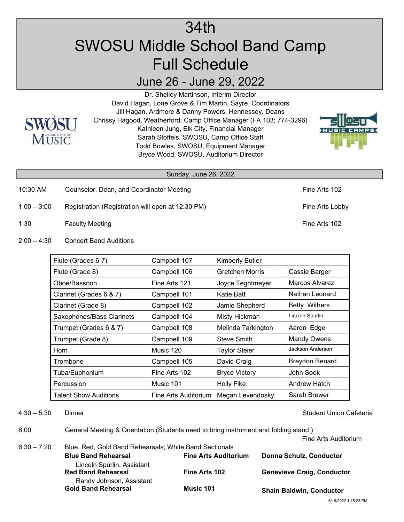## 34th SWOSU Middle School Band Camp Full Schedule

## June 26 - June 29, 2022



Dr. Shelley Martinson, Interim Director David Hagan, Lone Grove & Tim Martin, Sayre, Coordinators Jill Hagan, Ardmore & Danny Powers, Hennessey, Deans Chrissy Hagood, Weatherford, Camp Office Manager (FA 103; 774-3296) Kathleen Jung, Elk City, Financial Manager Sarah Stoffels, SWOSU, Camp Office Staff Todd Bowles, SWOSU, Equipment Manager Bryce Wood, SWOSU, Auditorium Director



## Sunday, June 26, 2022

- 10:30 AM Counselor, Dean, and Coordinator Meeting Fine Arts 102
- 1:00 3:00 Registration (Registration will open at 12:30 PM) Fine Arts Lobby
- 1:30 Faculty Meeting Fine Arts 102
- 2:00 4:30 Concert Band Auditions

| Flute (Grades 6-7)        | Campbell 107         | <b>Kimberly Butler</b> |                       |
|---------------------------|----------------------|------------------------|-----------------------|
| Flute (Grade 8)           | Campbell 106         | Gretchen Morris        | Cassie Barger         |
| Oboe/Bassoon              | Fine Arts 121        | Joyce Teghtmeyer       | Marcos Alvarez        |
| Clarinet (Grades 6 & 7)   | Campbell 101         | Katie Batt             | Nathan Leonard        |
| Clarinet (Grade 8)        | Campbell 102         | Jamie Shepherd         | <b>Betty Withers</b>  |
| Saxophones/Bass Clarinets | Campbell 104         | Misty Hickman          | Lincoln Spurlin       |
| Trumpet (Grades 6 & 7)    | Campbell 108         | Melinda Tarkington     | Aaron Edge            |
| Trumpet (Grade 8)         | Campbell 109         | Steve Smith            | <b>Mandy Owens</b>    |
| Horn                      | Music 120            | <b>Taylor Steier</b>   | Jackson Anderson      |
| Trombone                  | Campbell 105         | David Craig            | <b>Breydon Renard</b> |
| Tuba/Euphonium            | Fine Arts 102        | <b>Bryce Victory</b>   | John Sook             |
| Percussion                | Music 101            | <b>Holly Fike</b>      | Andrew Hatch          |
| Talent Show Auditions     | Fine Arts Auditorium | Megan Levendosky       | Sarah Brewer          |

4:30 – 5:30 Dinner Student Union Cafeteria

6:00 General Meeting & Orientation (Students need to bring instrument and folding stand.)

Fine Arts Auditorium

6:30 – 7:20 Blue, Red, Gold Band Rehearsals; White Band Sectionals **Blue Band Rehearsal Fine Arts Auditorium Red Band Rehearsal Fine Arts 102 Gold Band Rehearsal Music 101** Lincoln Spurlin, Assistant  **Donna Schulz, Conductor** Randy Johnson, Assistant  **Genevieve Craig, Conductor Shain Baldwin, Conductor**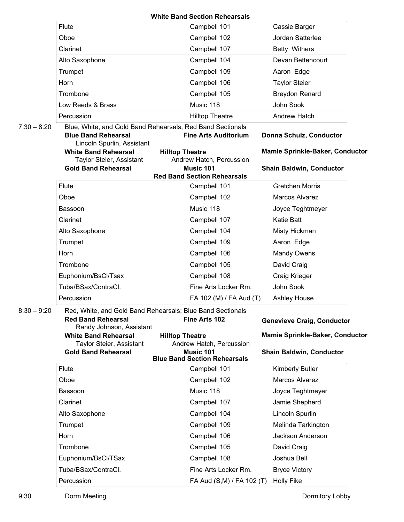|               |                                                                     | <b>White Band Section Rehearsals</b>                                                                   |                                                          |
|---------------|---------------------------------------------------------------------|--------------------------------------------------------------------------------------------------------|----------------------------------------------------------|
|               | Flute                                                               | Campbell 101                                                                                           | Cassie Barger                                            |
|               | Oboe                                                                | Campbell 102                                                                                           | Jordan Satterlee                                         |
|               | Clarinet                                                            | Campbell 107                                                                                           | Betty Withers                                            |
|               | Alto Saxophone                                                      | Campbell 104                                                                                           | Devan Bettencourt                                        |
|               | Trumpet                                                             | Campbell 109                                                                                           | Aaron Edge                                               |
|               | Horn                                                                | Campbell 106                                                                                           | <b>Taylor Steier</b>                                     |
|               | Trombone                                                            | Campbell 105                                                                                           | <b>Breydon Renard</b>                                    |
|               | Low Reeds & Brass                                                   | Music 118                                                                                              | John Sook                                                |
|               | Percussion                                                          | <b>Hilltop Theatre</b>                                                                                 | Andrew Hatch                                             |
| $7:30 - 8:20$ | <b>Blue Band Rehearsal</b><br>Lincoln Spurlin, Assistant            | Blue, White, and Gold Band Rehearsals; Red Band Sectionals<br><b>Fine Arts Auditorium</b>              | Donna Schulz, Conductor                                  |
|               | <b>White Band Rehearsal</b><br>Taylor Steier, Assistant             | <b>Hilltop Theatre</b><br>Andrew Hatch, Percussion                                                     | <b>Mamie Sprinkle-Baker, Conductor</b>                   |
|               | <b>Gold Band Rehearsal</b>                                          | Music 101                                                                                              | <b>Shain Baldwin, Conductor</b>                          |
|               |                                                                     | <b>Red Band Section Rehearsals</b>                                                                     |                                                          |
|               | Flute                                                               | Campbell 101                                                                                           | <b>Gretchen Morris</b><br>Marcos Alvarez                 |
|               | Oboe                                                                | Campbell 102                                                                                           |                                                          |
|               | <b>Bassoon</b>                                                      | Music 118                                                                                              | Joyce Teghtmeyer                                         |
|               | Clarinet                                                            | Campbell 107                                                                                           | Katie Batt                                               |
|               | Alto Saxophone                                                      | Campbell 104                                                                                           | Misty Hickman                                            |
|               | Trumpet                                                             | Campbell 109                                                                                           | Aaron Edge                                               |
|               | Horn                                                                | Campbell 106                                                                                           | <b>Mandy Owens</b>                                       |
|               | Trombone                                                            | Campbell 105                                                                                           | David Craig                                              |
|               | Euphonium/BsCl/Tsax                                                 | Campbell 108                                                                                           | Craig Krieger                                            |
|               | Tuba/BSax/ContraCl.                                                 | Fine Arts Locker Rm.                                                                                   | John Sook                                                |
| $8:30 - 9:20$ | Percussion<br><b>Red Band Rehearsal</b><br>Randy Johnson, Assistant | FA 102 (M) / FA Aud (T)<br>Red, White, and Gold Band Rehearsals; Blue Band Sectionals<br>Fine Arts 102 | <b>Ashley House</b><br><b>Genevieve Craig, Conductor</b> |
|               | <b>White Band Rehearsal</b><br>Taylor Steier, Assistant             | <b>Hilltop Theatre</b><br>Andrew Hatch, Percussion                                                     | <b>Mamie Sprinkle-Baker, Conductor</b>                   |
|               | <b>Gold Band Rehearsal</b>                                          | Music 101<br><b>Blue Band Section Rehearsals</b>                                                       | <b>Shain Baldwin, Conductor</b>                          |
|               | Flute                                                               | Campbell 101                                                                                           | <b>Kimberly Butler</b>                                   |
|               | Oboe                                                                | Campbell 102                                                                                           | Marcos Alvarez                                           |
|               | Bassoon                                                             | Music 118                                                                                              | Joyce Teghtmeyer                                         |
|               | Clarinet                                                            | Campbell 107                                                                                           | Jamie Shepherd                                           |
|               | Alto Saxophone                                                      | Campbell 104                                                                                           | Lincoln Spurlin                                          |
|               | Trumpet                                                             | Campbell 109                                                                                           | Melinda Tarkington                                       |
|               | Horn                                                                | Campbell 106                                                                                           | Jackson Anderson                                         |
|               | Trombone                                                            | Campbell 105                                                                                           | David Craig                                              |
|               | Euphonium/BsCl/TSax                                                 | Campbell 108                                                                                           | Joshua Bell                                              |
|               | Tuba/BSax/ContraCl.                                                 | Fine Arts Locker Rm.                                                                                   | <b>Bryce Victory</b>                                     |
|               |                                                                     |                                                                                                        |                                                          |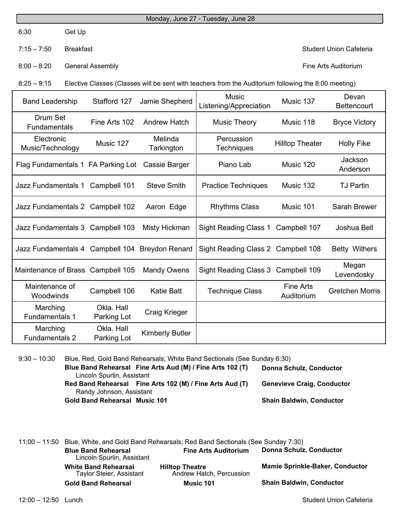6:30 Get Up

7:15 – 7:50 Breakfast Student Union Cafeteria

8:00 – 8:20 General Assembly Fine Arts Auditorium

8:25 – 9:15 Elective Classes (Classes will be sent with teachers from the Auditorium following the 8:00 meeting)

| <b>Band Leadership</b>             | Stafford 127              | Jamie Shepherd         | <b>Music</b><br>Listening/Appreciation | Music 137                      | Devan<br><b>Bettencourt</b> |
|------------------------------------|---------------------------|------------------------|----------------------------------------|--------------------------------|-----------------------------|
| Drum Set<br><b>Fundamentals</b>    | Fine Arts 102             | <b>Andrew Hatch</b>    | <b>Music Theory</b>                    | Music 118                      | <b>Bryce Victory</b>        |
| Electronic<br>Music/Technology     | Music 127                 | Melinda<br>Tarkington  | Percussion<br><b>Techniques</b>        | <b>Hilltop Theater</b>         | <b>Holly Fike</b>           |
| Flag Fundamentals 1 FA Parking Lot |                           | Cassie Barger          | Piano Lab                              | Music 120                      | Jackson<br>Anderson         |
| Jazz Fundamentals 1                | Campbell 101              | <b>Steve Smith</b>     | <b>Practice Techniques</b>             | Music 132                      | <b>TJ Partin</b>            |
| Jazz Fundamentals 2 Campbell 102   |                           | Aaron Edge             | <b>Rhythms Class</b>                   | Music 101                      | <b>Sarah Brewer</b>         |
| Jazz Fundamentals 3 Campbell 103   |                           | Misty Hickman          | Sight Reading Class 1                  | Campbell 107                   | Joshua Bell                 |
| Jazz Fundamentals 4 Campbell 104   |                           | <b>Breydon Renard</b>  | Sight Reading Class 2 Campbell 108     |                                | Betty Withers               |
| Maintenance of Brass Campbell 105  |                           | <b>Mandy Owens</b>     | Sight Reading Class 3 Campbell 109     |                                | Megan<br>Levendosky         |
| Maintenance of<br>Woodwinds        | Campbell 106              | Katie Batt             | <b>Technique Class</b>                 | <b>Fine Arts</b><br>Auditorium | <b>Gretchen Morris</b>      |
| Marching<br><b>Fundamentals 1</b>  | Okla, Hall<br>Parking Lot | Craig Krieger          |                                        |                                |                             |
| Marching<br><b>Fundamentals 2</b>  | Okla, Hall<br>Parking Lot | <b>Kimberly Butler</b> |                                        |                                |                             |

9:30 – 10:30 Blue, Red, Gold Band Rehearsals; White Band Sectionals (See Sunday 6:30) **Blue Band Rehearsal Fine Arts Aud (M) / Fine Arts 102 (T) Red Band Rehearsal Fine Arts 102 (M) / Fine Arts Aud (T) Gold Band Rehearsal Music 101** Lincoln Spurlin, Assistant  **Donna Schulz, Conductor** Randy Johnson, Assistant **Shain Baldwin, Conductor Genevieve Craig, Conductor**

11:00 – 11:50 Blue, White, and Gold Band Rehearsals; Red Band Sectionals (See Sunday 7:30) **Blue Band Rehearsal Fine Arts Auditorium White Band Rehearsal Hilltop Theatre Gold Band Rehearsal Music 101** Lincoln Spurlin, Assistant **Mamie Sprinkle-Baker, Conductor Donna Schulz, Conductor** Taylor Steier, Assistant **Shain Baldwin, Conductor** Andrew Hatch, Percussion

12:00 – 12:50 Lunch Student Union Cafeteria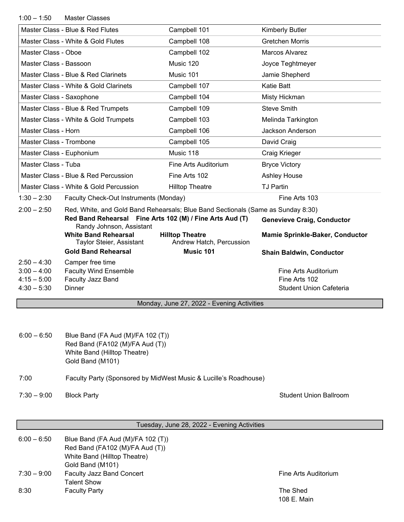| $1:00 - 1:50$                  | <b>Master Classes</b>                                                                |                                                    |                                        |
|--------------------------------|--------------------------------------------------------------------------------------|----------------------------------------------------|----------------------------------------|
|                                | Master Class - Blue & Red Flutes                                                     | Campbell 101                                       | <b>Kimberly Butler</b>                 |
|                                | Master Class - White & Gold Flutes                                                   | Campbell 108                                       | <b>Gretchen Morris</b>                 |
| Master Class - Oboe            |                                                                                      | Campbell 102                                       | Marcos Alvarez                         |
| Master Class - Bassoon         |                                                                                      | Music 120                                          | Joyce Teghtmeyer                       |
|                                | Master Class - Blue & Red Clarinets                                                  | Music 101                                          | Jamie Shepherd                         |
|                                | Master Class - White & Gold Clarinets                                                | Campbell 107                                       | <b>Katie Batt</b>                      |
| Master Class - Saxophone       |                                                                                      | Campbell 104                                       | Misty Hickman                          |
|                                | Master Class - Blue & Red Trumpets                                                   | Campbell 109                                       | <b>Steve Smith</b>                     |
|                                | Master Class - White & Gold Trumpets                                                 | Campbell 103                                       | Melinda Tarkington                     |
| Master Class - Horn            |                                                                                      | Campbell 106                                       | Jackson Anderson                       |
| Master Class - Trombone        |                                                                                      | Campbell 105                                       | David Craig                            |
| Master Class - Euphonium       |                                                                                      | Music 118                                          | Craig Krieger                          |
| Master Class - Tuba            |                                                                                      | Fine Arts Auditorium                               | <b>Bryce Victory</b>                   |
|                                | Master Class - Blue & Red Percussion                                                 | Fine Arts 102                                      | Ashley House                           |
|                                | Master Class - White & Gold Percussion                                               | <b>Hilltop Theatre</b>                             | <b>TJ Partin</b>                       |
| $1:30 - 2:30$                  | Faculty Check-Out Instruments (Monday)                                               |                                                    | Fine Arts 103                          |
| $2:00 - 2:50$                  | Red, White, and Gold Band Rehearsals; Blue Band Sectionals (Same as Sunday 8:30)     |                                                    |                                        |
|                                | Red Band Rehearsal Fine Arts 102 (M) / Fine Arts Aud (T)<br>Randy Johnson, Assistant |                                                    | <b>Genevieve Craig, Conductor</b>      |
|                                | <b>White Band Rehearsal</b><br>Taylor Steier, Assistant                              | <b>Hilltop Theatre</b><br>Andrew Hatch, Percussion | <b>Mamie Sprinkle-Baker, Conductor</b> |
|                                | <b>Gold Band Rehearsal</b>                                                           | Music 101                                          | <b>Shain Baldwin, Conductor</b>        |
| $2:50 - 4:30$<br>$3:00 - 4:00$ | Camper free time<br><b>Faculty Wind Ensemble</b>                                     |                                                    | Fine Arts Auditorium                   |
| $4:15 - 5:00$                  | Faculty Jazz Band                                                                    |                                                    | Fine Arts 102                          |
| $4:30 - 5:30$                  | <b>Dinner</b>                                                                        |                                                    | <b>Student Union Cafeteria</b>         |
|                                |                                                                                      | Monday, June 27, 2022 - Evening Activities         |                                        |
|                                |                                                                                      |                                                    |                                        |

| $6:00 - 6:50$ | Blue Band (FA Aud (M)/FA 102 (T)) |
|---------------|-----------------------------------|
|               | Red Band (FA102 (M)/FA Aud (T))   |
|               | White Band (Hilltop Theatre)      |
|               | Gold Band (M101)                  |
|               |                                   |

## 7:00 Faculty Party (Sponsored by MidWest Music & Lucille's Roadhouse)

7:30 – 9:00 Block Party **Block Party** Student Union Ballroom

| Tuesday, June 28, 2022 - Evening Activities |                                                                      |                      |  |
|---------------------------------------------|----------------------------------------------------------------------|----------------------|--|
| $6:00 - 6:50$                               | Blue Band (FA Aud (M)/FA 102 (T))<br>Red Band (FA102 (M)/FA Aud (T)) |                      |  |
|                                             | White Band (Hilltop Theatre)                                         |                      |  |
|                                             | Gold Band (M101)                                                     |                      |  |
| $7:30 - 9:00$                               | <b>Faculty Jazz Band Concert</b>                                     | Fine Arts Auditorium |  |
|                                             | Talent Show                                                          |                      |  |
| 8:30                                        | <b>Faculty Party</b>                                                 | The Shed             |  |
|                                             |                                                                      | 108 E. Main          |  |